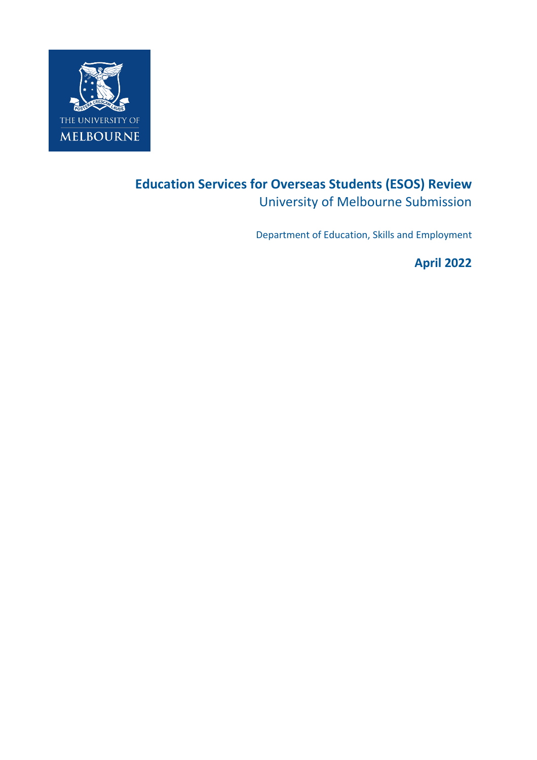

# **Education Services for Overseas Students (ESOS) Review** University of Melbourne Submission

Department of Education, Skills and Employment

**April 2022**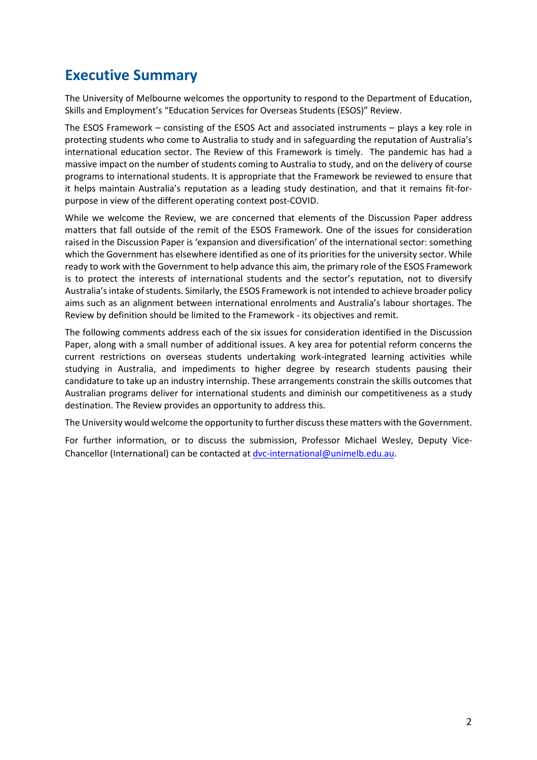# **Executive Summary**

The University of Melbourne welcomes the opportunity to respond to the Department of Education, Skills and Employment's "Education Services for Overseas Students (ESOS)" Review.

The ESOS Framework – consisting of the ESOS Act and associated instruments – plays a key role in protecting students who come to Australia to study and in safeguarding the reputation of Australia's international education sector. The Review of this Framework is timely. The pandemic has had a massive impact on the number of students coming to Australia to study, and on the delivery of course programs to international students. It is appropriate that the Framework be reviewed to ensure that it helps maintain Australia's reputation as a leading study destination, and that it remains fit-forpurpose in view of the different operating context post-COVID.

While we welcome the Review, we are concerned that elements of the Discussion Paper address matters that fall outside of the remit of the ESOS Framework. One of the issues for consideration raised in the Discussion Paper is 'expansion and diversification' of the international sector: something which the Government has elsewhere identified as one of its priorities for the university sector. While ready to work with the Government to help advance this aim, the primary role of the ESOS Framework is to protect the interests of international students and the sector's reputation, not to diversify Australia's intake of students. Similarly, the ESOS Framework is not intended to achieve broader policy aims such as an alignment between international enrolments and Australia's labour shortages. The Review by definition should be limited to the Framework - its objectives and remit.

The following comments address each of the six issues for consideration identified in the Discussion Paper, along with a small number of additional issues. A key area for potential reform concerns the current restrictions on overseas students undertaking work-integrated learning activities while studying in Australia, and impediments to higher degree by research students pausing their candidature to take up an industry internship. These arrangements constrain the skills outcomes that Australian programs deliver for international students and diminish our competitiveness as a study destination. The Review provides an opportunity to address this.

The University would welcome the opportunity to further discussthese matters with the Government.

For further information, or to discuss the submission, Professor Michael Wesley, Deputy ViceChancellor (International) can be contacted at [dvc-international@unimelb.edu.au.](mailto:dvc-international@unimelb.edu.au)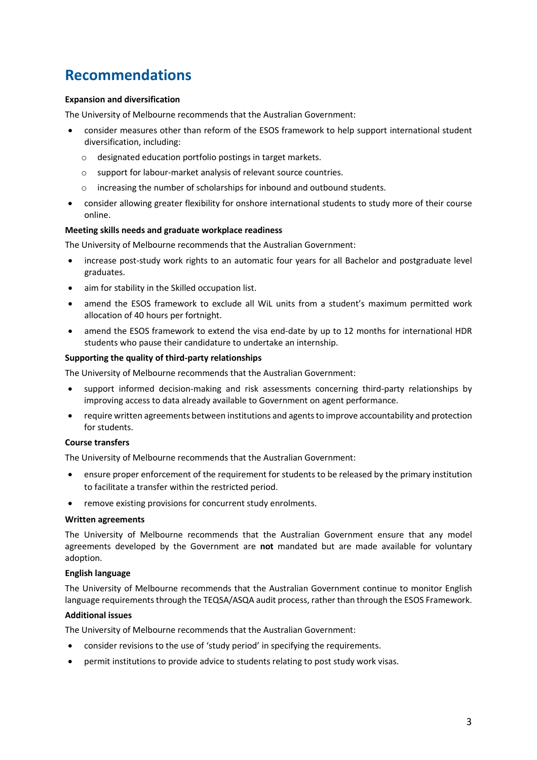# **Recommendations**

#### **Expansion and diversification**

The University of Melbourne recommends that the Australian Government:

- consider measures other than reform of the ESOS framework to help support international student diversification, including:
	- o designated education portfolio postings in target markets.
	- o support for labour-market analysis of relevant source countries.
	- o increasing the number of scholarships for inbound and outbound students.
- consider allowing greater flexibility for onshore international students to study more of their course online.

#### **Meeting skills needs and graduate workplace readiness**

The University of Melbourne recommends that the Australian Government:

- increase post-study work rights to an automatic four years for all Bachelor and postgraduate level graduates.
- aim for stability in the Skilled occupation list.
- amend the ESOS framework to exclude all WiL units from a student's maximum permitted work allocation of 40 hours per fortnight.
- amend the ESOS framework to extend the visa end-date by up to 12 months for international HDR students who pause their candidature to undertake an internship.

#### **Supporting the quality of third-party relationships**

The University of Melbourne recommends that the Australian Government:

- support informed decision-making and risk assessments concerning third-party relationships by improving access to data already available to Government on agent performance.
- require written agreements between institutions and agents to improve accountability and protection for students.

#### **Course transfers**

The University of Melbourne recommends that the Australian Government:

- ensure proper enforcement of the requirement for students to be released by the primary institution to facilitate a transfer within the restricted period.
- remove existing provisions for concurrent study enrolments.

#### **Written agreements**

The University of Melbourne recommends that the Australian Government ensure that any model agreements developed by the Government are **not** mandated but are made available for voluntary adoption.

#### **English language**

The University of Melbourne recommends that the Australian Government continue to monitor English language requirements through the TEQSA/ASQA audit process, rather than through the ESOS Framework.

#### **Additional issues**

The University of Melbourne recommends that the Australian Government:

- consider revisions to the use of 'study period' in specifying the requirements.
- permit institutions to provide advice to students relating to post study work visas.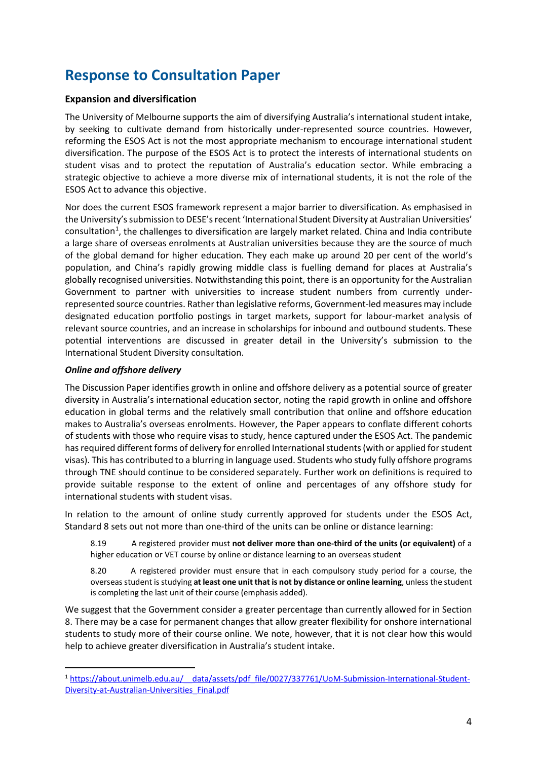# **Response to Consultation Paper**

# **Expansion and diversification**

The University of Melbourne supports the aim of diversifying Australia's international student intake, by seeking to cultivate demand from historically under-represented source countries. However, reforming the ESOS Act is not the most appropriate mechanism to encourage international student diversification. The purpose of the ESOS Act is to protect the interests of international students on student visas and to protect the reputation of Australia's education sector. While embracing a strategic objective to achieve a more diverse mix of international students, it is not the role of the ESOS Act to advance this objective.

Nor does the current ESOS framework represent a major barrier to diversification. As emphasised in the University's submission to DESE's recent 'International Student Diversity at Australian Universities' consultation<sup>[1](#page-3-0)</sup>, the challenges to diversification are largely market related. China and India contribute a large share of overseas enrolments at Australian universities because they are the source of much of the global demand for higher education. They each make up around 20 per cent of the world's population, and China's rapidly growing middle class is fuelling demand for places at Australia's globally recognised universities. Notwithstanding this point, there is an opportunity for the Australian Government to partner with universities to increase student numbers from currently underrepresented source countries. Rather than legislative reforms, Government-led measures may include designated education portfolio postings in target markets, support for labour-market analysis of relevant source countries, and an increase in scholarships for inbound and outbound students. These potential interventions are discussed in greater detail in the University's submission to the International Student Diversity consultation.

# *Online and offshore delivery*

The Discussion Paper identifies growth in online and offshore delivery as a potential source of greater diversity in Australia's international education sector, noting the rapid growth in online and offshore education in global terms and the relatively small contribution that online and offshore education makes to Australia's overseas enrolments. However, the Paper appears to conflate different cohorts of students with those who require visas to study, hence captured under the ESOS Act. The pandemic has required different forms of delivery for enrolled International students (with or applied for student visas). This has contributed to a blurring in language used. Students who study fully offshore programs through TNE should continue to be considered separately. Further work on definitions is required to provide suitable response to the extent of online and percentages of any offshore study for international students with student visas.

In relation to the amount of online study currently approved for students under the ESOS Act, Standard 8 sets out not more than one-third of the units can be online or distance learning:

8.19 A registered provider must **not deliver more than one-third of the units (or equivalent)** of a higher education or VET course by online or distance learning to an overseas student

8.20 A registered provider must ensure that in each compulsory study period for a course, the overseas student is studying **at least one unit that is not by distance or online learning**, unless the student is completing the last unit of their course (emphasis added).

We suggest that the Government consider a greater percentage than currently allowed for in Section 8. There may be a case for permanent changes that allow greater flexibility for onshore international students to study more of their course online. We note, however, that it is not clear how this would help to achieve greater diversification in Australia's student intake.

<span id="page-3-0"></span><sup>1</sup> [https://about.unimelb.edu.au/\\_\\_data/assets/pdf\\_file/0027/337761/UoM-Submission-International-Student-](https://about.unimelb.edu.au/__data/assets/pdf_file/0027/337761/UoM-Submission-International-Student-Diversity-at-Australian-Universities_Final.pdf)[Diversity-at-Australian-Universities\\_Final.pdf](https://about.unimelb.edu.au/__data/assets/pdf_file/0027/337761/UoM-Submission-International-Student-Diversity-at-Australian-Universities_Final.pdf)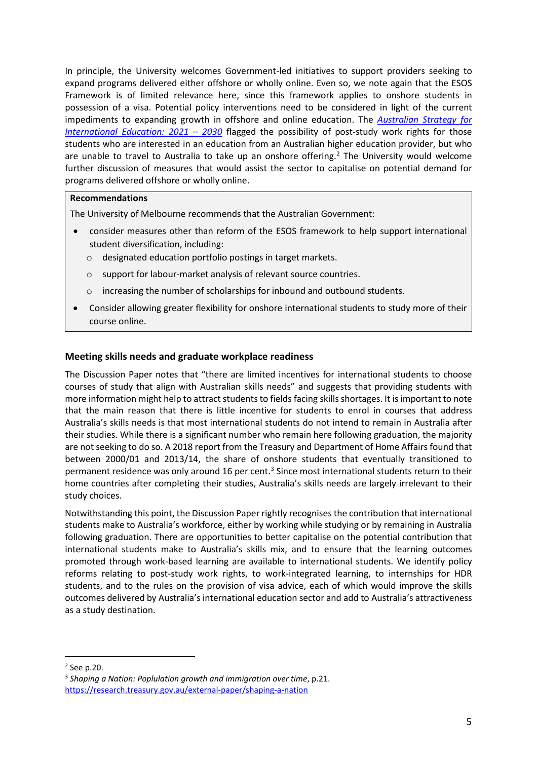In principle, the University welcomes Government-led initiatives to support providers seeking to expand programs delivered either offshore or wholly online. Even so, we note again that the ESOS Framework is of limited relevance here, since this framework applies to onshore students in possession of a visa. Potential policy interventions need to be considered in light of the current impediments to expanding growth in offshore and online education. The *[Australian Strategy for](https://www.dese.gov.au/australian-strategy-international-education-2021-2030/resources/australian-strategy-international-education-2021-2030)  [International Education: 2021 – 2030](https://www.dese.gov.au/australian-strategy-international-education-2021-2030/resources/australian-strategy-international-education-2021-2030)* flagged the possibility of post-study work rights for those students who are interested in an education from an Australian higher education provider, but who are unable to travel to Australia to take up an onshore offering. [2](#page-4-0) The University would welcome further discussion of measures that would assist the sector to capitalise on potential demand for programs delivered offshore or wholly online.

# **Recommendations**

The University of Melbourne recommends that the Australian Government:

- consider measures other than reform of the ESOS framework to help support international student diversification, including:
	- o designated education portfolio postings in target markets.
	- o support for labour-market analysis of relevant source countries.
	- o increasing the number of scholarships for inbound and outbound students.
- Consider allowing greater flexibility for onshore international students to study more of their course online.

# **Meeting skills needs and graduate workplace readiness**

The Discussion Paper notes that "there are limited incentives for international students to choose courses of study that align with Australian skills needs" and suggests that providing students with more information might help to attract students to fields facing skills shortages. It is important to note that the main reason that there is little incentive for students to enrol in courses that address Australia's skills needs is that most international students do not intend to remain in Australia after their studies. While there is a significant number who remain here following graduation, the majority are not seeking to do so. A 2018 report from the Treasury and Department of Home Affairs found that between 2000/01 and 2013/14, the share of onshore students that eventually transitioned to permanent residence was only around 16 per cent.<sup>[3](#page-4-1)</sup> Since most international students return to their home countries after completing their studies, Australia's skills needs are largely irrelevant to their study choices.

Notwithstanding this point, the Discussion Paper rightly recognises the contribution that international students make to Australia's workforce, either by working while studying or by remaining in Australia following graduation. There are opportunities to better capitalise on the potential contribution that international students make to Australia's skills mix, and to ensure that the learning outcomes promoted through work-based learning are available to international students. We identify policy reforms relating to post-study work rights, to work-integrated learning, to internships for HDR students, and to the rules on the provision of visa advice, each of which would improve the skills outcomes delivered by Australia's international education sector and add to Australia's attractiveness as a study destination.

<span id="page-4-0"></span><sup>2</sup> See p.20.

<span id="page-4-1"></span><sup>3</sup> *Shaping a Nation: Poplulation growth and immigration over time*, p.21. <https://research.treasury.gov.au/external-paper/shaping-a-nation>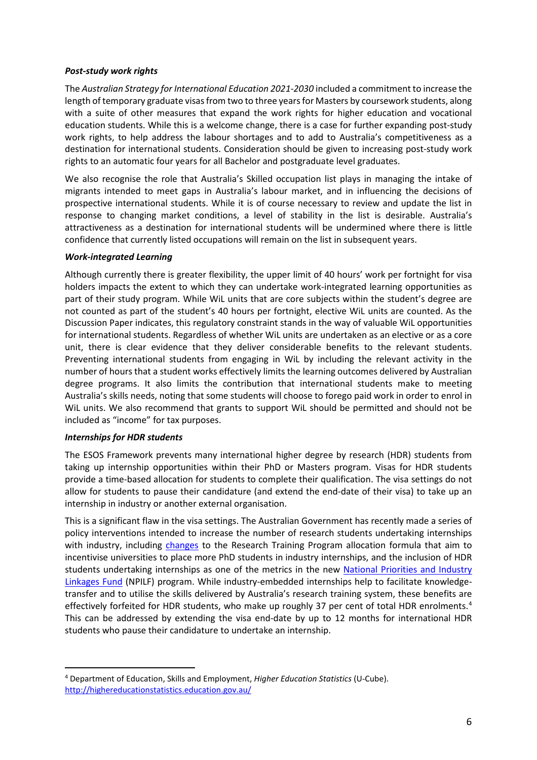# *Post-study work rights*

The *Australian Strategy for International Education 2021-2030* included a commitment to increase the length of temporary graduate visas from two to three years for Masters by coursework students, along with a suite of other measures that expand the work rights for higher education and vocational education students. While this is a welcome change, there is a case for further expanding post-study work rights, to help address the labour shortages and to add to Australia's competitiveness as a destination for international students. Consideration should be given to increasing post-study work rights to an automatic four years for all Bachelor and postgraduate level graduates.

We also recognise the role that Australia's Skilled occupation list plays in managing the intake of migrants intended to meet gaps in Australia's labour market, and in influencing the decisions of prospective international students. While it is of course necessary to review and update the list in response to changing market conditions, a level of stability in the list is desirable. Australia's attractiveness as a destination for international students will be undermined where there is little confidence that currently listed occupations will remain on the list in subsequent years.

# *Work-integrated Learning*

Although currently there is greater flexibility, the upper limit of 40 hours' work per fortnight for visa holders impacts the extent to which they can undertake work-integrated learning opportunities as part of their study program. While WiL units that are core subjects within the student's degree are not counted as part of the student's 40 hours per fortnight, elective WiL units are counted. As the Discussion Paper indicates, this regulatory constraint stands in the way of valuable WiL opportunities for international students. Regardless of whether WiL units are undertaken as an elective or as a core unit, there is clear evidence that they deliver considerable benefits to the relevant students. Preventing international students from engaging in WiL by including the relevant activity in the number of hours that a student works effectively limits the learning outcomes delivered by Australian degree programs. It also limits the contribution that international students make to meeting Australia's skills needs, noting that some students will choose to forego paid work in order to enrol in WiL units. We also recommend that grants to support WiL should be permitted and should not be included as "income" for tax purposes.

# *Internships for HDR students*

The ESOS Framework prevents many international higher degree by research (HDR) students from taking up internship opportunities within their PhD or Masters program. Visas for HDR students provide a time-based allocation for students to complete their qualification. The visa settings do not allow for students to pause their candidature (and extend the end-date of their visa) to take up an internship in industry or another external organisation.

This is a significant flaw in the visa settings. The Australian Government has recently made a series of policy interventions intended to increase the number of research students undertaking internships with industry, including [changes](https://www.dese.gov.au/research-block-grants/resources/growing-industry-internships-research-phd-students-through-research-training-program-implementation) to the Research Training Program allocation formula that aim to incentivise universities to place more PhD students in industry internships, and the inclusion of HDR students undertaking internships as one of the metrics in the new [National Priorities and Industry](https://www.dese.gov.au/job-ready/npilf)  [Linkages Fund](https://www.dese.gov.au/job-ready/npilf) (NPILF) program. While industry-embedded internships help to facilitate knowledgetransfer and to utilise the skills delivered by Australia's research training system, these benefits are effectively forfeited for HDR students, who make up roughly 37 per cent of total HDR enrolments.<sup>[4](#page-5-0)</sup> This can be addressed by extending the visa end-date by up to 12 months for international HDR students who pause their candidature to undertake an internship.

<span id="page-5-0"></span><sup>4</sup> Department of Education, Skills and Employment, *Higher Education Statistics* (U-Cube). <http://highereducationstatistics.education.gov.au/>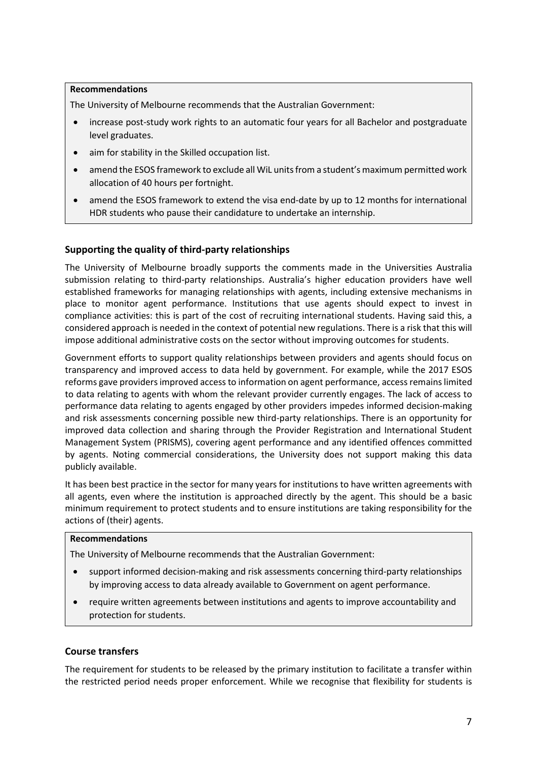## **Recommendations**

The University of Melbourne recommends that the Australian Government:

- increase post-study work rights to an automatic four years for all Bachelor and postgraduate level graduates.
- aim for stability in the Skilled occupation list.
- amend the ESOS framework to exclude all WiL units from a student's maximum permitted work allocation of 40 hours per fortnight.
- amend the ESOS framework to extend the visa end-date by up to 12 months for international HDR students who pause their candidature to undertake an internship.

# **Supporting the quality of third-party relationships**

The University of Melbourne broadly supports the comments made in the Universities Australia submission relating to third-party relationships. Australia's higher education providers have well established frameworks for managing relationships with agents, including extensive mechanisms in place to monitor agent performance. Institutions that use agents should expect to invest in compliance activities: this is part of the cost of recruiting international students. Having said this, a considered approach is needed in the context of potential new regulations. There is a risk that this will impose additional administrative costs on the sector without improving outcomes for students.

Government efforts to support quality relationships between providers and agents should focus on transparency and improved access to data held by government. For example, while the 2017 ESOS reforms gave providers improved access to information on agent performance, access remains limited to data relating to agents with whom the relevant provider currently engages. The lack of access to performance data relating to agents engaged by other providers impedes informed decision-making and risk assessments concerning possible new third-party relationships. There is an opportunity for improved data collection and sharing through the Provider Registration and International Student Management System (PRISMS), covering agent performance and any identified offences committed by agents. Noting commercial considerations, the University does not support making this data publicly available.

It has been best practice in the sector for many years for institutions to have written agreements with all agents, even where the institution is approached directly by the agent. This should be a basic minimum requirement to protect students and to ensure institutions are taking responsibility for the actions of (their) agents.

### **Recommendations**

The University of Melbourne recommends that the Australian Government:

- support informed decision-making and risk assessments concerning third-party relationships by improving access to data already available to Government on agent performance.
- require written agreements between institutions and agents to improve accountability and protection for students.

# **Course transfers**

The requirement for students to be released by the primary institution to facilitate a transfer within the restricted period needs proper enforcement. While we recognise that flexibility for students is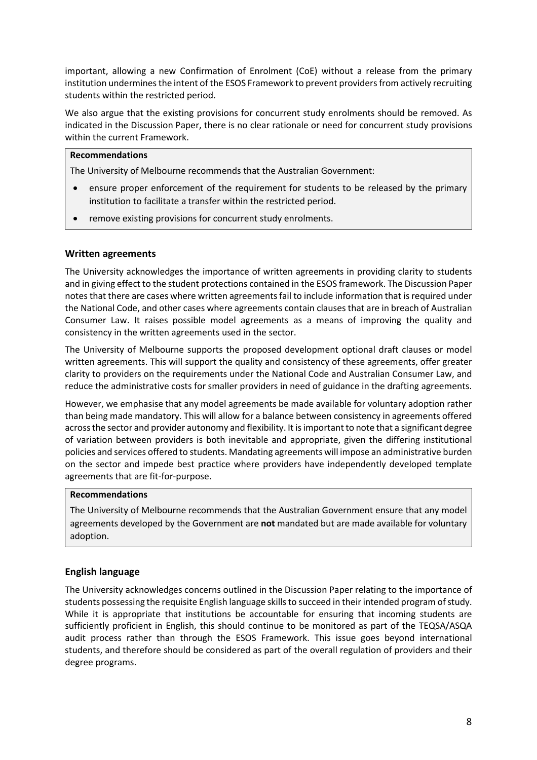important, allowing a new Confirmation of Enrolment (CoE) without a release from the primary institution undermines the intent of the ESOS Framework to prevent providers from actively recruiting students within the restricted period.

We also argue that the existing provisions for concurrent study enrolments should be removed. As indicated in the Discussion Paper, there is no clear rationale or need for concurrent study provisions within the current Framework.

### **Recommendations**

The University of Melbourne recommends that the Australian Government:

- ensure proper enforcement of the requirement for students to be released by the primary institution to facilitate a transfer within the restricted period.
- remove existing provisions for concurrent study enrolments.

# **Written agreements**

The University acknowledges the importance of written agreements in providing clarity to students and in giving effect to the student protections contained in the ESOS framework. The Discussion Paper notes that there are cases where written agreements fail to include information that is required under the National Code, and other cases where agreements contain clauses that are in breach of Australian Consumer Law. It raises possible model agreements as a means of improving the quality and consistency in the written agreements used in the sector.

The University of Melbourne supports the proposed development optional draft clauses or model written agreements. This will support the quality and consistency of these agreements, offer greater clarity to providers on the requirements under the National Code and Australian Consumer Law, and reduce the administrative costs for smaller providers in need of guidance in the drafting agreements.

However, we emphasise that any model agreements be made available for voluntary adoption rather than being made mandatory. This will allow for a balance between consistency in agreements offered across the sector and provider autonomy and flexibility. It is important to note that a significant degree of variation between providers is both inevitable and appropriate, given the differing institutional policies and services offered to students. Mandating agreements will impose an administrative burden on the sector and impede best practice where providers have independently developed template agreements that are fit-for-purpose.

### **Recommendations**

The University of Melbourne recommends that the Australian Government ensure that any model agreements developed by the Government are **not** mandated but are made available for voluntary adoption.

# **English language**

The University acknowledges concerns outlined in the Discussion Paper relating to the importance of students possessing the requisite English language skills to succeed in their intended program of study. While it is appropriate that institutions be accountable for ensuring that incoming students are sufficiently proficient in English, this should continue to be monitored as part of the TEQSA/ASQA audit process rather than through the ESOS Framework. This issue goes beyond international students, and therefore should be considered as part of the overall regulation of providers and their degree programs.